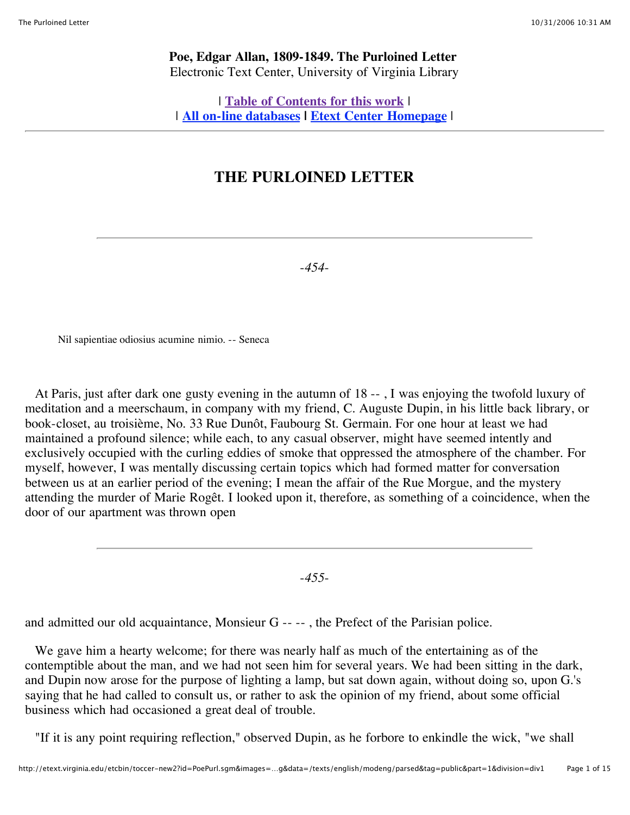**Poe, Edgar Allan, 1809-1849. The Purloined Letter** Electronic Text Center, University of Virginia Library

| **Table of Contents for this work** | | **All on-line databases | Etext Center Homepage** |

## **THE PURLOINED LETTER**

-*454*-

Nil sapientiae odiosius acumine nimio. -- Seneca

 At Paris, just after dark one gusty evening in the autumn of 18 -- , I was enjoying the twofold luxury of meditation and a meerschaum, in company with my friend, C. Auguste Dupin, in his little back library, or book-closet, au troisième, No. 33 Rue Dunôt, Faubourg St. Germain. For one hour at least we had maintained a profound silence; while each, to any casual observer, might have seemed intently and exclusively occupied with the curling eddies of smoke that oppressed the atmosphere of the chamber. For myself, however, I was mentally discussing certain topics which had formed matter for conversation between us at an earlier period of the evening; I mean the affair of the Rue Morgue, and the mystery attending the murder of Marie Rogêt. I looked upon it, therefore, as something of a coincidence, when the door of our apartment was thrown open

-*455*-

and admitted our old acquaintance, Monsieur G -- -- , the Prefect of the Parisian police.

 We gave him a hearty welcome; for there was nearly half as much of the entertaining as of the contemptible about the man, and we had not seen him for several years. We had been sitting in the dark, and Dupin now arose for the purpose of lighting a lamp, but sat down again, without doing so, upon G.'s saying that he had called to consult us, or rather to ask the opinion of my friend, about some official business which had occasioned a great deal of trouble.

"If it is any point requiring reflection," observed Dupin, as he forbore to enkindle the wick, "we shall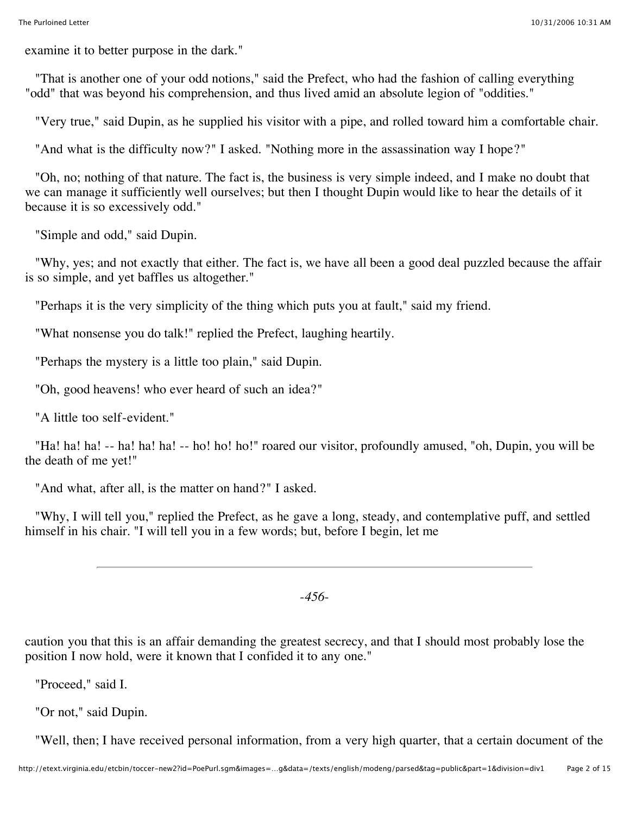examine it to better purpose in the dark."

 "That is another one of your odd notions," said the Prefect, who had the fashion of calling everything "odd" that was beyond his comprehension, and thus lived amid an absolute legion of "oddities."

"Very true," said Dupin, as he supplied his visitor with a pipe, and rolled toward him a comfortable chair.

"And what is the difficulty now?" I asked. "Nothing more in the assassination way I hope?"

 "Oh, no; nothing of that nature. The fact is, the business is very simple indeed, and I make no doubt that we can manage it sufficiently well ourselves; but then I thought Dupin would like to hear the details of it because it is so excessively odd."

"Simple and odd," said Dupin.

 "Why, yes; and not exactly that either. The fact is, we have all been a good deal puzzled because the affair is so simple, and yet baffles us altogether."

"Perhaps it is the very simplicity of the thing which puts you at fault," said my friend.

"What nonsense you do talk!" replied the Prefect, laughing heartily.

"Perhaps the mystery is a little too plain," said Dupin.

"Oh, good heavens! who ever heard of such an idea?"

"A little too self-evident."

"Ha! ha! ha! -- ha! ha! ha! -- ho! ho! ho!" roared our visitor, profoundly amused, "oh, Dupin, you will be the death of me yet!"

"And what, after all, is the matter on hand?" I asked.

 "Why, I will tell you," replied the Prefect, as he gave a long, steady, and contemplative puff, and settled himself in his chair. "I will tell you in a few words; but, before I begin, let me

-*456*-

caution you that this is an affair demanding the greatest secrecy, and that I should most probably lose the position I now hold, were it known that I confided it to any one."

"Proceed," said I.

"Or not," said Dupin.

"Well, then; I have received personal information, from a very high quarter, that a certain document of the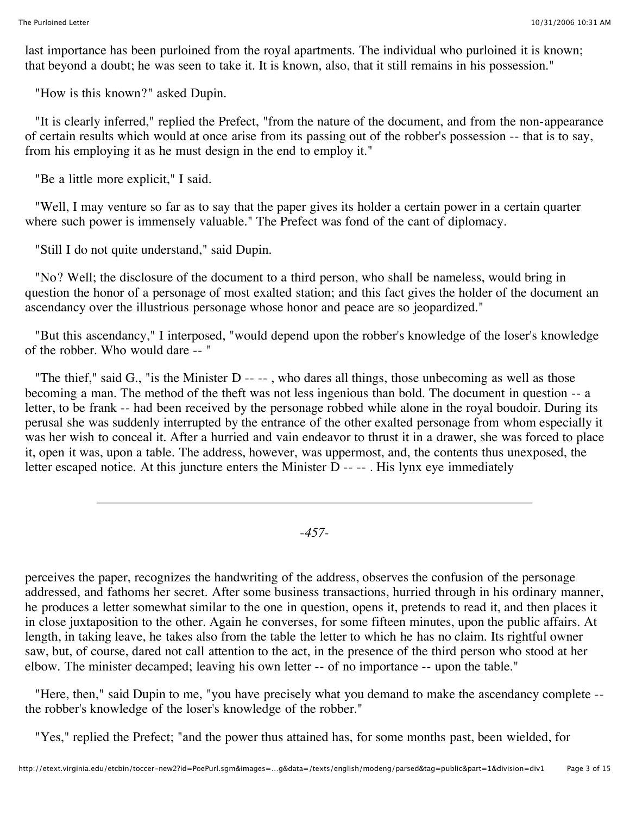last importance has been purloined from the royal apartments. The individual who purloined it is known; that beyond a doubt; he was seen to take it. It is known, also, that it still remains in his possession."

"How is this known?" asked Dupin.

 "It is clearly inferred," replied the Prefect, "from the nature of the document, and from the non-appearance of certain results which would at once arise from its passing out of the robber's possession -- that is to say, from his employing it as he must design in the end to employ it."

"Be a little more explicit," I said.

 "Well, I may venture so far as to say that the paper gives its holder a certain power in a certain quarter where such power is immensely valuable." The Prefect was fond of the cant of diplomacy.

"Still I do not quite understand," said Dupin.

 "No? Well; the disclosure of the document to a third person, who shall be nameless, would bring in question the honor of a personage of most exalted station; and this fact gives the holder of the document an ascendancy over the illustrious personage whose honor and peace are so jeopardized."

 "But this ascendancy," I interposed, "would depend upon the robber's knowledge of the loser's knowledge of the robber. Who would dare -- "

"The thief," said G., "is the Minister  $D - - -$ , who dares all things, those unbecoming as well as those becoming a man. The method of the theft was not less ingenious than bold. The document in question -- a letter, to be frank -- had been received by the personage robbed while alone in the royal boudoir. During its perusal she was suddenly interrupted by the entrance of the other exalted personage from whom especially it was her wish to conceal it. After a hurried and vain endeavor to thrust it in a drawer, she was forced to place it, open it was, upon a table. The address, however, was uppermost, and, the contents thus unexposed, the letter escaped notice. At this juncture enters the Minister  $\overrightarrow{D}$  ----. His lynx eye immediately

-*457*-

perceives the paper, recognizes the handwriting of the address, observes the confusion of the personage addressed, and fathoms her secret. After some business transactions, hurried through in his ordinary manner, he produces a letter somewhat similar to the one in question, opens it, pretends to read it, and then places it in close juxtaposition to the other. Again he converses, for some fifteen minutes, upon the public affairs. At length, in taking leave, he takes also from the table the letter to which he has no claim. Its rightful owner saw, but, of course, dared not call attention to the act, in the presence of the third person who stood at her elbow. The minister decamped; leaving his own letter -- of no importance -- upon the table."

"Here, then," said Dupin to me, "you have precisely what you demand to make the ascendancy complete -the robber's knowledge of the loser's knowledge of the robber."

"Yes," replied the Prefect; "and the power thus attained has, for some months past, been wielded, for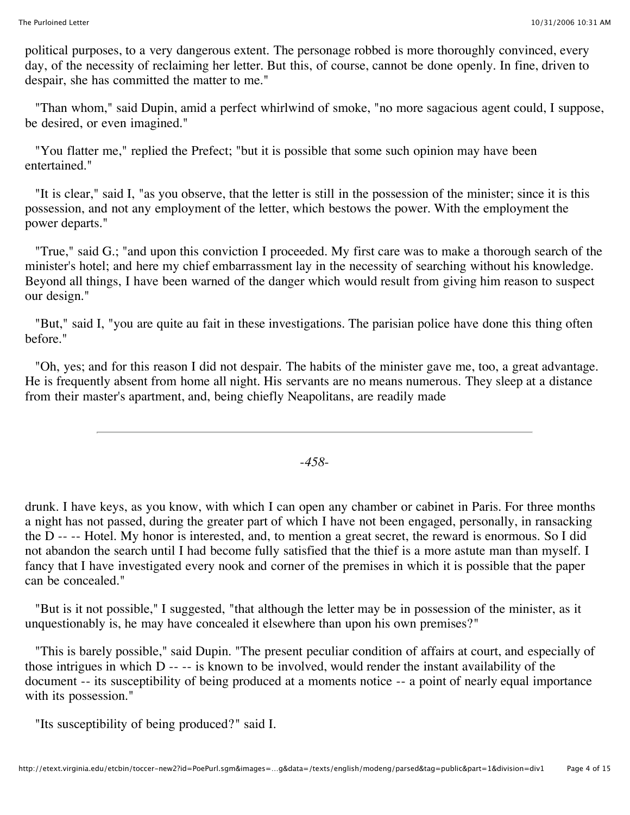political purposes, to a very dangerous extent. The personage robbed is more thoroughly convinced, every day, of the necessity of reclaiming her letter. But this, of course, cannot be done openly. In fine, driven to despair, she has committed the matter to me."

 "Than whom," said Dupin, amid a perfect whirlwind of smoke, "no more sagacious agent could, I suppose, be desired, or even imagined."

 "You flatter me," replied the Prefect; "but it is possible that some such opinion may have been entertained."

 "It is clear," said I, "as you observe, that the letter is still in the possession of the minister; since it is this possession, and not any employment of the letter, which bestows the power. With the employment the power departs."

 "True," said G.; "and upon this conviction I proceeded. My first care was to make a thorough search of the minister's hotel; and here my chief embarrassment lay in the necessity of searching without his knowledge. Beyond all things, I have been warned of the danger which would result from giving him reason to suspect our design."

 "But," said I, "you are quite au fait in these investigations. The parisian police have done this thing often before."

 "Oh, yes; and for this reason I did not despair. The habits of the minister gave me, too, a great advantage. He is frequently absent from home all night. His servants are no means numerous. They sleep at a distance from their master's apartment, and, being chiefly Neapolitans, are readily made

-*458*-

drunk. I have keys, as you know, with which I can open any chamber or cabinet in Paris. For three months a night has not passed, during the greater part of which I have not been engaged, personally, in ransacking the D -- -- Hotel. My honor is interested, and, to mention a great secret, the reward is enormous. So I did not abandon the search until I had become fully satisfied that the thief is a more astute man than myself. I fancy that I have investigated every nook and corner of the premises in which it is possible that the paper can be concealed."

 "But is it not possible," I suggested, "that although the letter may be in possession of the minister, as it unquestionably is, he may have concealed it elsewhere than upon his own premises?"

 "This is barely possible," said Dupin. "The present peculiar condition of affairs at court, and especially of those intrigues in which D -- -- is known to be involved, would render the instant availability of the document -- its susceptibility of being produced at a moments notice -- a point of nearly equal importance with its possession."

"Its susceptibility of being produced?" said I.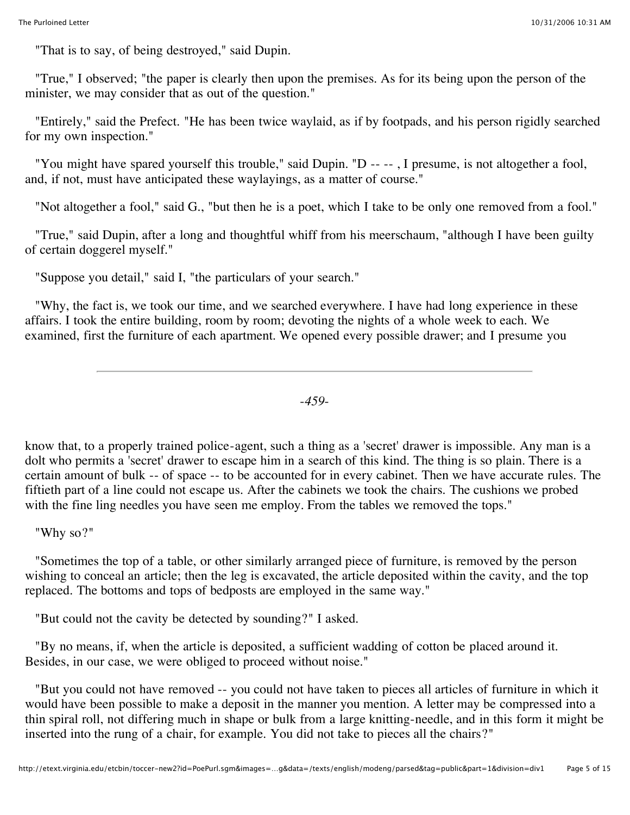"That is to say, of being destroyed," said Dupin.

 "True," I observed; "the paper is clearly then upon the premises. As for its being upon the person of the minister, we may consider that as out of the question."

 "Entirely," said the Prefect. "He has been twice waylaid, as if by footpads, and his person rigidly searched for my own inspection."

 "You might have spared yourself this trouble," said Dupin. "D -- -- , I presume, is not altogether a fool, and, if not, must have anticipated these waylayings, as a matter of course."

"Not altogether a fool," said G., "but then he is a poet, which I take to be only one removed from a fool."

 "True," said Dupin, after a long and thoughtful whiff from his meerschaum, "although I have been guilty of certain doggerel myself."

"Suppose you detail," said I, "the particulars of your search."

 "Why, the fact is, we took our time, and we searched everywhere. I have had long experience in these affairs. I took the entire building, room by room; devoting the nights of a whole week to each. We examined, first the furniture of each apartment. We opened every possible drawer; and I presume you

-*459*-

know that, to a properly trained police-agent, such a thing as a 'secret' drawer is impossible. Any man is a dolt who permits a 'secret' drawer to escape him in a search of this kind. The thing is so plain. There is a certain amount of bulk -- of space -- to be accounted for in every cabinet. Then we have accurate rules. The fiftieth part of a line could not escape us. After the cabinets we took the chairs. The cushions we probed with the fine ling needles you have seen me employ. From the tables we removed the tops."

"Why so?"

 "Sometimes the top of a table, or other similarly arranged piece of furniture, is removed by the person wishing to conceal an article; then the leg is excavated, the article deposited within the cavity, and the top replaced. The bottoms and tops of bedposts are employed in the same way."

"But could not the cavity be detected by sounding?" I asked.

 "By no means, if, when the article is deposited, a sufficient wadding of cotton be placed around it. Besides, in our case, we were obliged to proceed without noise."

 "But you could not have removed -- you could not have taken to pieces all articles of furniture in which it would have been possible to make a deposit in the manner you mention. A letter may be compressed into a thin spiral roll, not differing much in shape or bulk from a large knitting-needle, and in this form it might be inserted into the rung of a chair, for example. You did not take to pieces all the chairs?"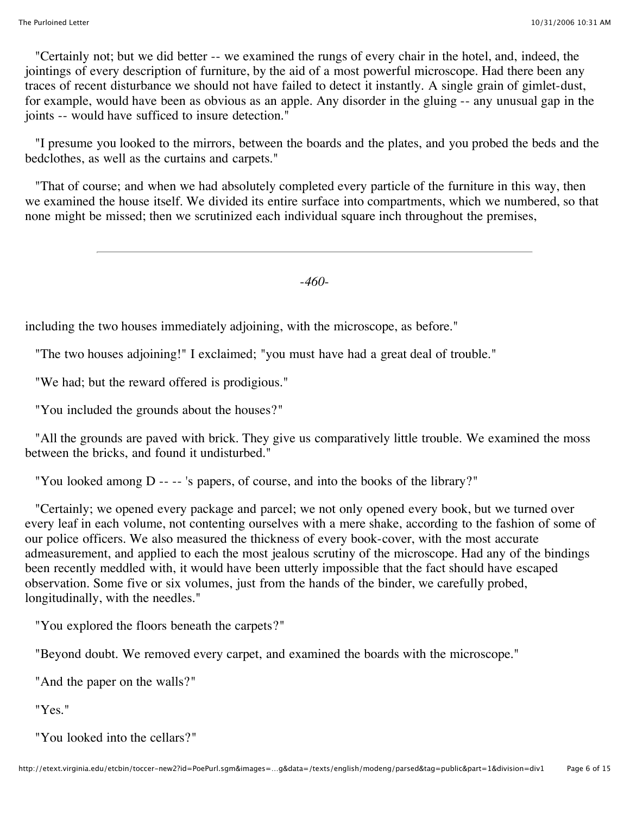"Certainly not; but we did better -- we examined the rungs of every chair in the hotel, and, indeed, the jointings of every description of furniture, by the aid of a most powerful microscope. Had there been any traces of recent disturbance we should not have failed to detect it instantly. A single grain of gimlet-dust, for example, would have been as obvious as an apple. Any disorder in the gluing -- any unusual gap in the joints -- would have sufficed to insure detection."

 "I presume you looked to the mirrors, between the boards and the plates, and you probed the beds and the bedclothes, as well as the curtains and carpets."

 "That of course; and when we had absolutely completed every particle of the furniture in this way, then we examined the house itself. We divided its entire surface into compartments, which we numbered, so that none might be missed; then we scrutinized each individual square inch throughout the premises,

-*460*-

including the two houses immediately adjoining, with the microscope, as before."

"The two houses adjoining!" I exclaimed; "you must have had a great deal of trouble."

"We had; but the reward offered is prodigious."

"You included the grounds about the houses?"

 "All the grounds are paved with brick. They give us comparatively little trouble. We examined the moss between the bricks, and found it undisturbed."

"You looked among D -- -- 's papers, of course, and into the books of the library?"

 "Certainly; we opened every package and parcel; we not only opened every book, but we turned over every leaf in each volume, not contenting ourselves with a mere shake, according to the fashion of some of our police officers. We also measured the thickness of every book-cover, with the most accurate admeasurement, and applied to each the most jealous scrutiny of the microscope. Had any of the bindings been recently meddled with, it would have been utterly impossible that the fact should have escaped observation. Some five or six volumes, just from the hands of the binder, we carefully probed, longitudinally, with the needles."

"You explored the floors beneath the carpets?"

"Beyond doubt. We removed every carpet, and examined the boards with the microscope."

"And the paper on the walls?"

"Yes."

"You looked into the cellars?"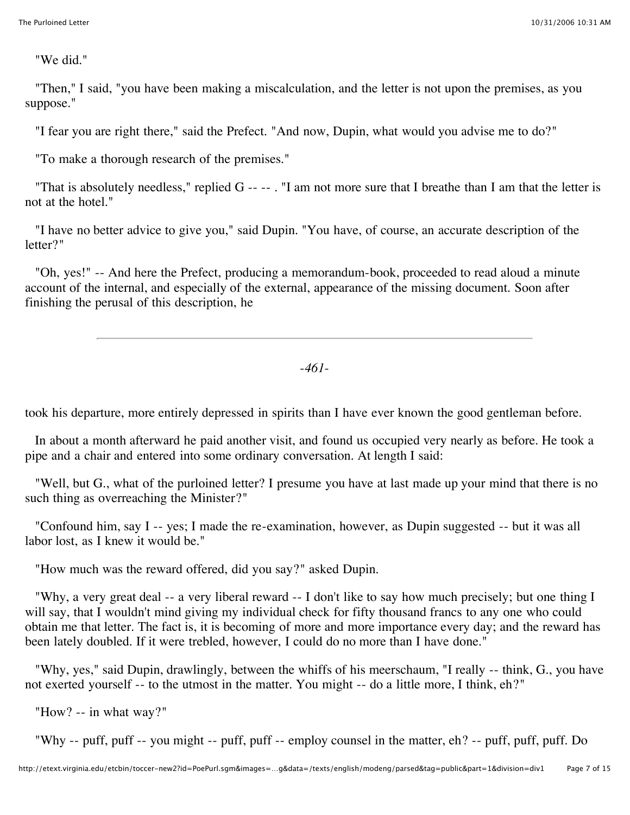"We did."

 "Then," I said, "you have been making a miscalculation, and the letter is not upon the premises, as you suppose."

"I fear you are right there," said the Prefect. "And now, Dupin, what would you advise me to do?"

"To make a thorough research of the premises."

"That is absolutely needless," replied  $G - - -$ . "I am not more sure that I breathe than I am that the letter is not at the hotel."

 "I have no better advice to give you," said Dupin. "You have, of course, an accurate description of the letter?"

 "Oh, yes!" -- And here the Prefect, producing a memorandum-book, proceeded to read aloud a minute account of the internal, and especially of the external, appearance of the missing document. Soon after finishing the perusal of this description, he

-*461*-

took his departure, more entirely depressed in spirits than I have ever known the good gentleman before.

 In about a month afterward he paid another visit, and found us occupied very nearly as before. He took a pipe and a chair and entered into some ordinary conversation. At length I said:

 "Well, but G., what of the purloined letter? I presume you have at last made up your mind that there is no such thing as overreaching the Minister?"

 "Confound him, say I -- yes; I made the re-examination, however, as Dupin suggested -- but it was all labor lost, as I knew it would be."

"How much was the reward offered, did you say?" asked Dupin.

 "Why, a very great deal -- a very liberal reward -- I don't like to say how much precisely; but one thing I will say, that I wouldn't mind giving my individual check for fifty thousand francs to any one who could obtain me that letter. The fact is, it is becoming of more and more importance every day; and the reward has been lately doubled. If it were trebled, however, I could do no more than I have done."

 "Why, yes," said Dupin, drawlingly, between the whiffs of his meerschaum, "I really -- think, G., you have not exerted yourself -- to the utmost in the matter. You might -- do a little more, I think, eh?"

"How? -- in what way?"

"Why -- puff, puff -- you might -- puff, puff -- employ counsel in the matter, eh? -- puff, puff, puff. Do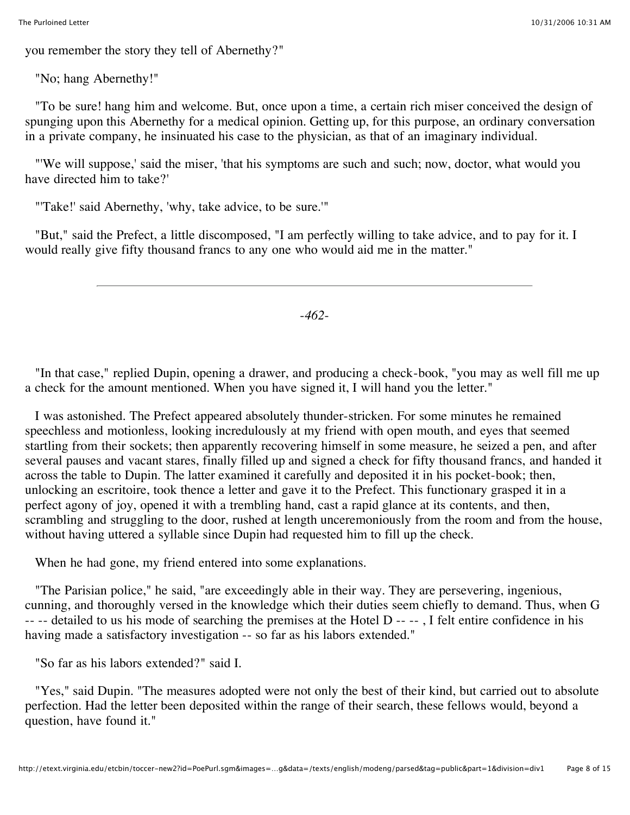you remember the story they tell of Abernethy?"

"No; hang Abernethy!"

 "To be sure! hang him and welcome. But, once upon a time, a certain rich miser conceived the design of spunging upon this Abernethy for a medical opinion. Getting up, for this purpose, an ordinary conversation in a private company, he insinuated his case to the physician, as that of an imaginary individual.

 "'We will suppose,' said the miser, 'that his symptoms are such and such; now, doctor, what would you have directed him to take?'

"'Take!' said Abernethy, 'why, take advice, to be sure.'"

 "But," said the Prefect, a little discomposed, "I am perfectly willing to take advice, and to pay for it. I would really give fifty thousand francs to any one who would aid me in the matter."

-*462*-

 "In that case," replied Dupin, opening a drawer, and producing a check-book, "you may as well fill me up a check for the amount mentioned. When you have signed it, I will hand you the letter."

 I was astonished. The Prefect appeared absolutely thunder-stricken. For some minutes he remained speechless and motionless, looking incredulously at my friend with open mouth, and eyes that seemed startling from their sockets; then apparently recovering himself in some measure, he seized a pen, and after several pauses and vacant stares, finally filled up and signed a check for fifty thousand francs, and handed it across the table to Dupin. The latter examined it carefully and deposited it in his pocket-book; then, unlocking an escritoire, took thence a letter and gave it to the Prefect. This functionary grasped it in a perfect agony of joy, opened it with a trembling hand, cast a rapid glance at its contents, and then, scrambling and struggling to the door, rushed at length unceremoniously from the room and from the house, without having uttered a syllable since Dupin had requested him to fill up the check.

When he had gone, my friend entered into some explanations.

 "The Parisian police," he said, "are exceedingly able in their way. They are persevering, ingenious, cunning, and thoroughly versed in the knowledge which their duties seem chiefly to demand. Thus, when G -- -- detailed to us his mode of searching the premises at the Hotel D -- --, I felt entire confidence in his having made a satisfactory investigation -- so far as his labors extended."

"So far as his labors extended?" said I.

 "Yes," said Dupin. "The measures adopted were not only the best of their kind, but carried out to absolute perfection. Had the letter been deposited within the range of their search, these fellows would, beyond a question, have found it."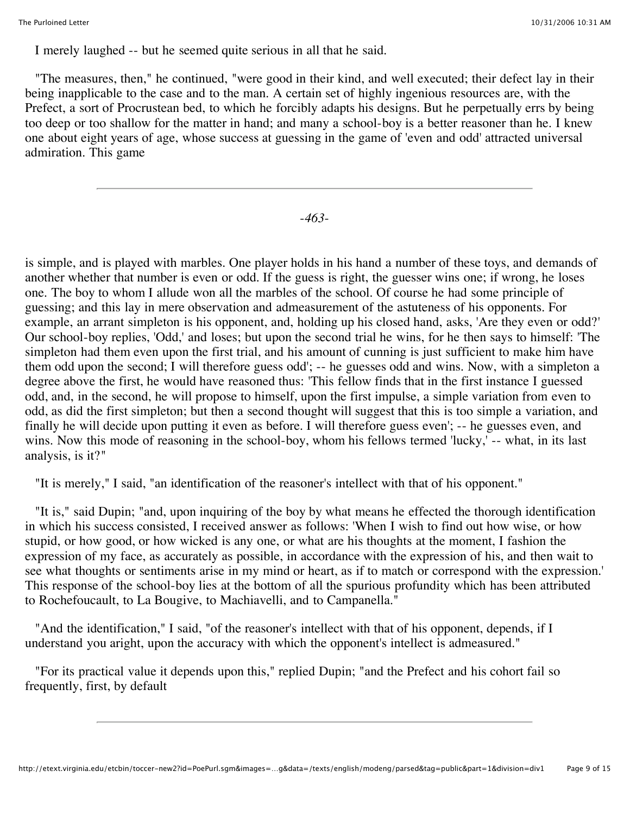I merely laughed -- but he seemed quite serious in all that he said.

 "The measures, then," he continued, "were good in their kind, and well executed; their defect lay in their being inapplicable to the case and to the man. A certain set of highly ingenious resources are, with the Prefect, a sort of Procrustean bed, to which he forcibly adapts his designs. But he perpetually errs by being too deep or too shallow for the matter in hand; and many a school-boy is a better reasoner than he. I knew one about eight years of age, whose success at guessing in the game of 'even and odd' attracted universal admiration. This game

-*463*-

is simple, and is played with marbles. One player holds in his hand a number of these toys, and demands of another whether that number is even or odd. If the guess is right, the guesser wins one; if wrong, he loses one. The boy to whom I allude won all the marbles of the school. Of course he had some principle of guessing; and this lay in mere observation and admeasurement of the astuteness of his opponents. For example, an arrant simpleton is his opponent, and, holding up his closed hand, asks, 'Are they even or odd?' Our school-boy replies, 'Odd,' and loses; but upon the second trial he wins, for he then says to himself: 'The simpleton had them even upon the first trial, and his amount of cunning is just sufficient to make him have them odd upon the second; I will therefore guess odd'; -- he guesses odd and wins. Now, with a simpleton a degree above the first, he would have reasoned thus: 'This fellow finds that in the first instance I guessed odd, and, in the second, he will propose to himself, upon the first impulse, a simple variation from even to odd, as did the first simpleton; but then a second thought will suggest that this is too simple a variation, and finally he will decide upon putting it even as before. I will therefore guess even'; -- he guesses even, and wins. Now this mode of reasoning in the school-boy, whom his fellows termed 'lucky,' -- what, in its last analysis, is it?"

"It is merely," I said, "an identification of the reasoner's intellect with that of his opponent."

 "It is," said Dupin; "and, upon inquiring of the boy by what means he effected the thorough identification in which his success consisted, I received answer as follows: 'When I wish to find out how wise, or how stupid, or how good, or how wicked is any one, or what are his thoughts at the moment, I fashion the expression of my face, as accurately as possible, in accordance with the expression of his, and then wait to see what thoughts or sentiments arise in my mind or heart, as if to match or correspond with the expression.' This response of the school-boy lies at the bottom of all the spurious profundity which has been attributed to Rochefoucault, to La Bougive, to Machiavelli, and to Campanella."

 "And the identification," I said, "of the reasoner's intellect with that of his opponent, depends, if I understand you aright, upon the accuracy with which the opponent's intellect is admeasured."

 "For its practical value it depends upon this," replied Dupin; "and the Prefect and his cohort fail so frequently, first, by default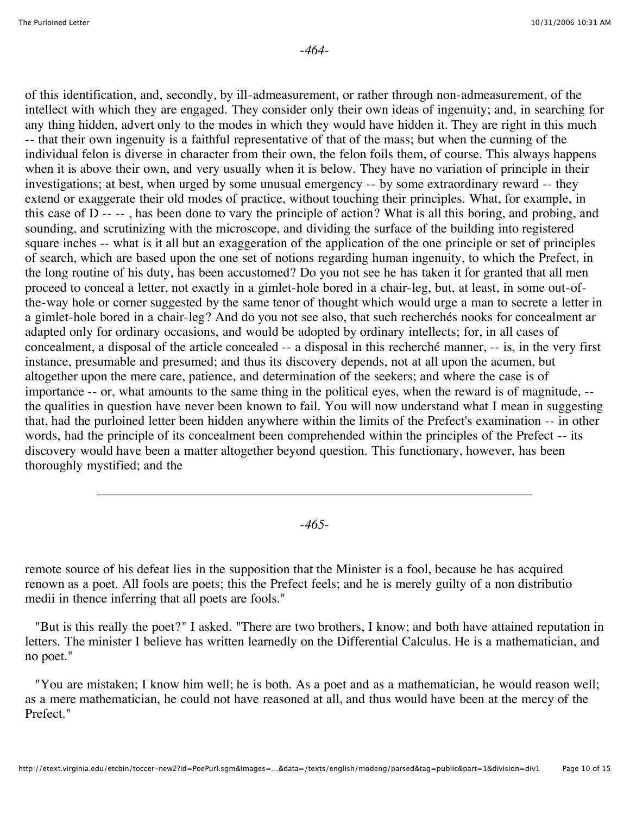## -*464*-

of this identification, and, secondly, by ill-admeasurement, or rather through non-admeasurement, of the intellect with which they are engaged. They consider only their own ideas of ingenuity; and, in searching for any thing hidden, advert only to the modes in which they would have hidden it. They are right in this much -- that their own ingenuity is a faithful representative of that of the mass; but when the cunning of the individual felon is diverse in character from their own, the felon foils them, of course. This always happens when it is above their own, and very usually when it is below. They have no variation of principle in their investigations; at best, when urged by some unusual emergency -- by some extraordinary reward -- they extend or exaggerate their old modes of practice, without touching their principles. What, for example, in this case of D -- -- , has been done to vary the principle of action? What is all this boring, and probing, and sounding, and scrutinizing with the microscope, and dividing the surface of the building into registered square inches -- what is it all but an exaggeration of the application of the one principle or set of principles of search, which are based upon the one set of notions regarding human ingenuity, to which the Prefect, in the long routine of his duty, has been accustomed? Do you not see he has taken it for granted that all men proceed to conceal a letter, not exactly in a gimlet-hole bored in a chair-leg, but, at least, in some out-ofthe-way hole or corner suggested by the same tenor of thought which would urge a man to secrete a letter in a gimlet-hole bored in a chair-leg? And do you not see also, that such recherchés nooks for concealment ar adapted only for ordinary occasions, and would be adopted by ordinary intellects; for, in all cases of concealment, a disposal of the article concealed -- a disposal in this recherché manner, -- is, in the very first instance, presumable and presumed; and thus its discovery depends, not at all upon the acumen, but altogether upon the mere care, patience, and determination of the seekers; and where the case is of importance -- or, what amounts to the same thing in the political eyes, when the reward is of magnitude, - the qualities in question have never been known to fail. You will now understand what I mean in suggesting that, had the purloined letter been hidden anywhere within the limits of the Prefect's examination -- in other words, had the principle of its concealment been comprehended within the principles of the Prefect -- its discovery would have been a matter altogether beyond question. This functionary, however, has been thoroughly mystified; and the

-*465*-

remote source of his defeat lies in the supposition that the Minister is a fool, because he has acquired renown as a poet. All fools are poets; this the Prefect feels; and he is merely guilty of a non distributio medii in thence inferring that all poets are fools."

 "But is this really the poet?" I asked. "There are two brothers, I know; and both have attained reputation in letters. The minister I believe has written learnedly on the Differential Calculus. He is a mathematician, and no poet."

 "You are mistaken; I know him well; he is both. As a poet and as a mathematician, he would reason well; as a mere mathematician, he could not have reasoned at all, and thus would have been at the mercy of the Prefect."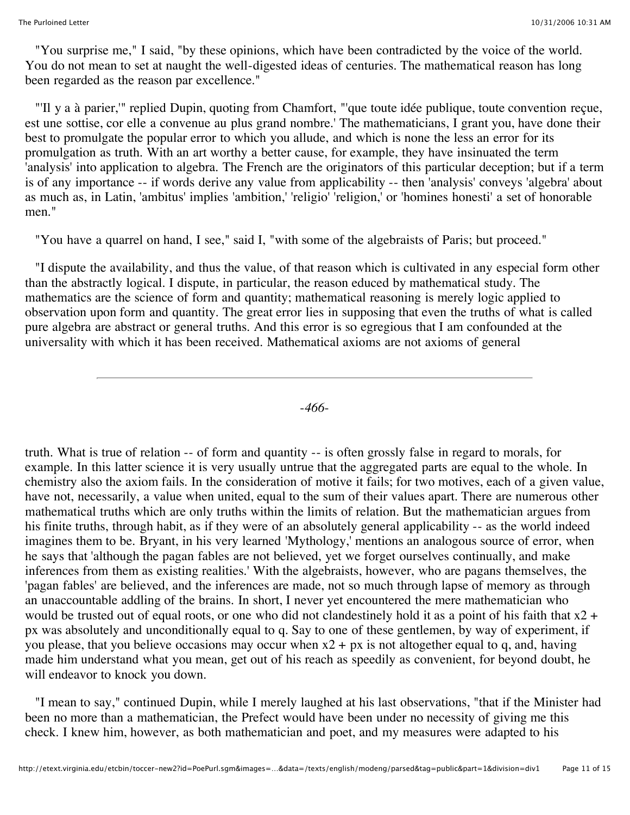"You surprise me," I said, "by these opinions, which have been contradicted by the voice of the world. You do not mean to set at naught the well-digested ideas of centuries. The mathematical reason has long been regarded as the reason par excellence."

 "'Il y a à parier,'" replied Dupin, quoting from Chamfort, "'que toute idée publique, toute convention reçue, est une sottise, cor elle a convenue au plus grand nombre.' The mathematicians, I grant you, have done their best to promulgate the popular error to which you allude, and which is none the less an error for its promulgation as truth. With an art worthy a better cause, for example, they have insinuated the term 'analysis' into application to algebra. The French are the originators of this particular deception; but if a term is of any importance -- if words derive any value from applicability -- then 'analysis' conveys 'algebra' about as much as, in Latin, 'ambitus' implies 'ambition,' 'religio' 'religion,' or 'homines honesti' a set of honorable men."

"You have a quarrel on hand, I see," said I, "with some of the algebraists of Paris; but proceed."

 "I dispute the availability, and thus the value, of that reason which is cultivated in any especial form other than the abstractly logical. I dispute, in particular, the reason educed by mathematical study. The mathematics are the science of form and quantity; mathematical reasoning is merely logic applied to observation upon form and quantity. The great error lies in supposing that even the truths of what is called pure algebra are abstract or general truths. And this error is so egregious that I am confounded at the universality with which it has been received. Mathematical axioms are not axioms of general

-*466*-

truth. What is true of relation -- of form and quantity -- is often grossly false in regard to morals, for example. In this latter science it is very usually untrue that the aggregated parts are equal to the whole. In chemistry also the axiom fails. In the consideration of motive it fails; for two motives, each of a given value, have not, necessarily, a value when united, equal to the sum of their values apart. There are numerous other mathematical truths which are only truths within the limits of relation. But the mathematician argues from his finite truths, through habit, as if they were of an absolutely general applicability -- as the world indeed imagines them to be. Bryant, in his very learned 'Mythology,' mentions an analogous source of error, when he says that 'although the pagan fables are not believed, yet we forget ourselves continually, and make inferences from them as existing realities.' With the algebraists, however, who are pagans themselves, the 'pagan fables' are believed, and the inferences are made, not so much through lapse of memory as through an unaccountable addling of the brains. In short, I never yet encountered the mere mathematician who would be trusted out of equal roots, or one who did not clandestinely hold it as a point of his faith that  $x^2$  + px was absolutely and unconditionally equal to q. Say to one of these gentlemen, by way of experiment, if you please, that you believe occasions may occur when  $x^2 + px$  is not altogether equal to q, and, having made him understand what you mean, get out of his reach as speedily as convenient, for beyond doubt, he will endeavor to knock you down.

 "I mean to say," continued Dupin, while I merely laughed at his last observations, "that if the Minister had been no more than a mathematician, the Prefect would have been under no necessity of giving me this check. I knew him, however, as both mathematician and poet, and my measures were adapted to his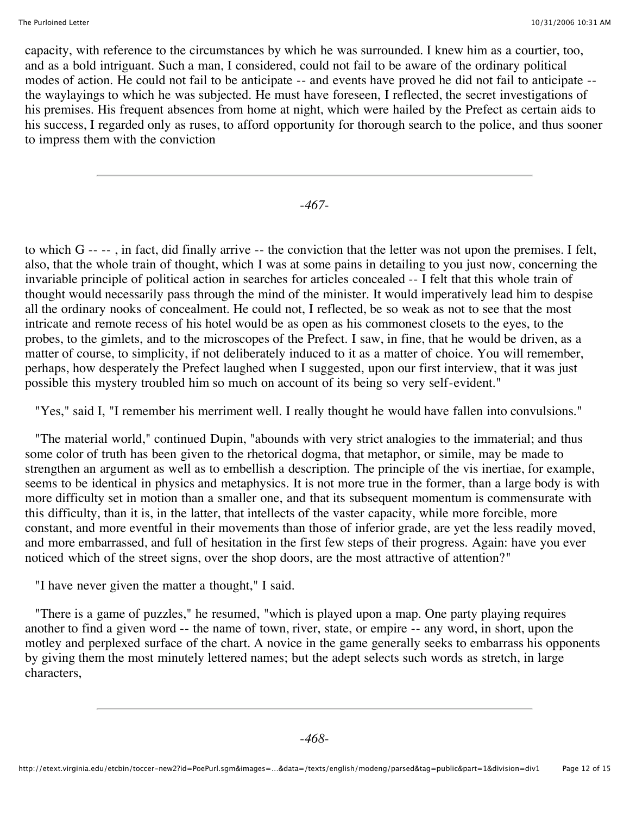capacity, with reference to the circumstances by which he was surrounded. I knew him as a courtier, too, and as a bold intriguant. Such a man, I considered, could not fail to be aware of the ordinary political modes of action. He could not fail to be anticipate -- and events have proved he did not fail to anticipate - the waylayings to which he was subjected. He must have foreseen, I reflected, the secret investigations of his premises. His frequent absences from home at night, which were hailed by the Prefect as certain aids to his success, I regarded only as ruses, to afford opportunity for thorough search to the police, and thus sooner to impress them with the conviction

-*467*-

to which G -- -- , in fact, did finally arrive -- the conviction that the letter was not upon the premises. I felt, also, that the whole train of thought, which I was at some pains in detailing to you just now, concerning the invariable principle of political action in searches for articles concealed -- I felt that this whole train of thought would necessarily pass through the mind of the minister. It would imperatively lead him to despise all the ordinary nooks of concealment. He could not, I reflected, be so weak as not to see that the most intricate and remote recess of his hotel would be as open as his commonest closets to the eyes, to the probes, to the gimlets, and to the microscopes of the Prefect. I saw, in fine, that he would be driven, as a matter of course, to simplicity, if not deliberately induced to it as a matter of choice. You will remember, perhaps, how desperately the Prefect laughed when I suggested, upon our first interview, that it was just possible this mystery troubled him so much on account of its being so very self-evident."

"Yes," said I, "I remember his merriment well. I really thought he would have fallen into convulsions."

 "The material world," continued Dupin, "abounds with very strict analogies to the immaterial; and thus some color of truth has been given to the rhetorical dogma, that metaphor, or simile, may be made to strengthen an argument as well as to embellish a description. The principle of the vis inertiae, for example, seems to be identical in physics and metaphysics. It is not more true in the former, than a large body is with more difficulty set in motion than a smaller one, and that its subsequent momentum is commensurate with this difficulty, than it is, in the latter, that intellects of the vaster capacity, while more forcible, more constant, and more eventful in their movements than those of inferior grade, are yet the less readily moved, and more embarrassed, and full of hesitation in the first few steps of their progress. Again: have you ever noticed which of the street signs, over the shop doors, are the most attractive of attention?"

"I have never given the matter a thought," I said.

 "There is a game of puzzles," he resumed, "which is played upon a map. One party playing requires another to find a given word -- the name of town, river, state, or empire -- any word, in short, upon the motley and perplexed surface of the chart. A novice in the game generally seeks to embarrass his opponents by giving them the most minutely lettered names; but the adept selects such words as stretch, in large characters,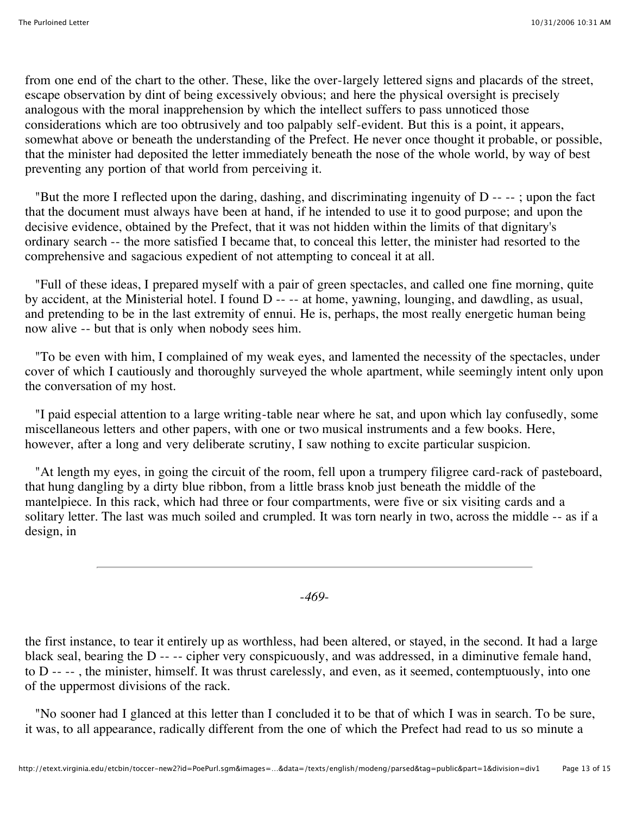from one end of the chart to the other. These, like the over-largely lettered signs and placards of the street, escape observation by dint of being excessively obvious; and here the physical oversight is precisely analogous with the moral inapprehension by which the intellect suffers to pass unnoticed those considerations which are too obtrusively and too palpably self-evident. But this is a point, it appears, somewhat above or beneath the understanding of the Prefect. He never once thought it probable, or possible, that the minister had deposited the letter immediately beneath the nose of the whole world, by way of best preventing any portion of that world from perceiving it.

 "But the more I reflected upon the daring, dashing, and discriminating ingenuity of D -- -- ; upon the fact that the document must always have been at hand, if he intended to use it to good purpose; and upon the decisive evidence, obtained by the Prefect, that it was not hidden within the limits of that dignitary's ordinary search -- the more satisfied I became that, to conceal this letter, the minister had resorted to the comprehensive and sagacious expedient of not attempting to conceal it at all.

 "Full of these ideas, I prepared myself with a pair of green spectacles, and called one fine morning, quite by accident, at the Ministerial hotel. I found D -- -- at home, yawning, lounging, and dawdling, as usual, and pretending to be in the last extremity of ennui. He is, perhaps, the most really energetic human being now alive -- but that is only when nobody sees him.

 "To be even with him, I complained of my weak eyes, and lamented the necessity of the spectacles, under cover of which I cautiously and thoroughly surveyed the whole apartment, while seemingly intent only upon the conversation of my host.

 "I paid especial attention to a large writing-table near where he sat, and upon which lay confusedly, some miscellaneous letters and other papers, with one or two musical instruments and a few books. Here, however, after a long and very deliberate scrutiny, I saw nothing to excite particular suspicion.

 "At length my eyes, in going the circuit of the room, fell upon a trumpery filigree card-rack of pasteboard, that hung dangling by a dirty blue ribbon, from a little brass knob just beneath the middle of the mantelpiece. In this rack, which had three or four compartments, were five or six visiting cards and a solitary letter. The last was much soiled and crumpled. It was torn nearly in two, across the middle -- as if a design, in

## -*469*-

the first instance, to tear it entirely up as worthless, had been altered, or stayed, in the second. It had a large black seal, bearing the D -- -- cipher very conspicuously, and was addressed, in a diminutive female hand, to D -- -- , the minister, himself. It was thrust carelessly, and even, as it seemed, contemptuously, into one of the uppermost divisions of the rack.

 "No sooner had I glanced at this letter than I concluded it to be that of which I was in search. To be sure, it was, to all appearance, radically different from the one of which the Prefect had read to us so minute a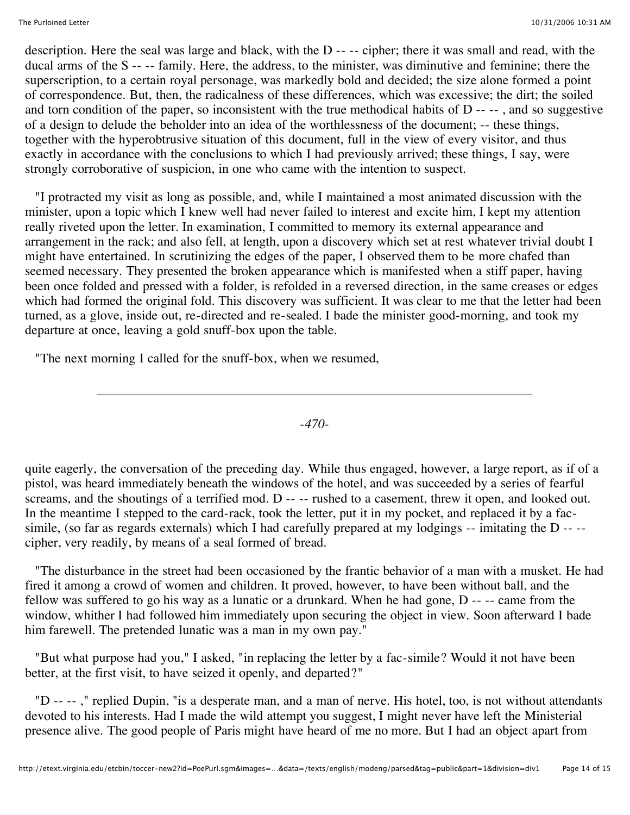description. Here the seal was large and black, with the D -- -- cipher; there it was small and read, with the ducal arms of the S -- -- family. Here, the address, to the minister, was diminutive and feminine; there the superscription, to a certain royal personage, was markedly bold and decided; the size alone formed a point of correspondence. But, then, the radicalness of these differences, which was excessive; the dirt; the soiled and torn condition of the paper, so inconsistent with the true methodical habits of D -- -- , and so suggestive of a design to delude the beholder into an idea of the worthlessness of the document; -- these things, together with the hyperobtrusive situation of this document, full in the view of every visitor, and thus exactly in accordance with the conclusions to which I had previously arrived; these things, I say, were strongly corroborative of suspicion, in one who came with the intention to suspect.

 "I protracted my visit as long as possible, and, while I maintained a most animated discussion with the minister, upon a topic which I knew well had never failed to interest and excite him, I kept my attention really riveted upon the letter. In examination, I committed to memory its external appearance and arrangement in the rack; and also fell, at length, upon a discovery which set at rest whatever trivial doubt I might have entertained. In scrutinizing the edges of the paper, I observed them to be more chafed than seemed necessary. They presented the broken appearance which is manifested when a stiff paper, having been once folded and pressed with a folder, is refolded in a reversed direction, in the same creases or edges which had formed the original fold. This discovery was sufficient. It was clear to me that the letter had been turned, as a glove, inside out, re-directed and re-sealed. I bade the minister good-morning, and took my departure at once, leaving a gold snuff-box upon the table.

"The next morning I called for the snuff-box, when we resumed,

-*470*-

quite eagerly, the conversation of the preceding day. While thus engaged, however, a large report, as if of a pistol, was heard immediately beneath the windows of the hotel, and was succeeded by a series of fearful screams, and the shoutings of a terrified mod. D -- -- rushed to a casement, threw it open, and looked out. In the meantime I stepped to the card-rack, took the letter, put it in my pocket, and replaced it by a facsimile, (so far as regards externals) which I had carefully prepared at my lodgings -- imitating the D -- - cipher, very readily, by means of a seal formed of bread.

 "The disturbance in the street had been occasioned by the frantic behavior of a man with a musket. He had fired it among a crowd of women and children. It proved, however, to have been without ball, and the fellow was suffered to go his way as a lunatic or a drunkard. When he had gone, D -- -- came from the window, whither I had followed him immediately upon securing the object in view. Soon afterward I bade him farewell. The pretended lunatic was a man in my own pay."

 "But what purpose had you," I asked, "in replacing the letter by a fac-simile? Would it not have been better, at the first visit, to have seized it openly, and departed?"

 "D -- -- ," replied Dupin, "is a desperate man, and a man of nerve. His hotel, too, is not without attendants devoted to his interests. Had I made the wild attempt you suggest, I might never have left the Ministerial presence alive. The good people of Paris might have heard of me no more. But I had an object apart from